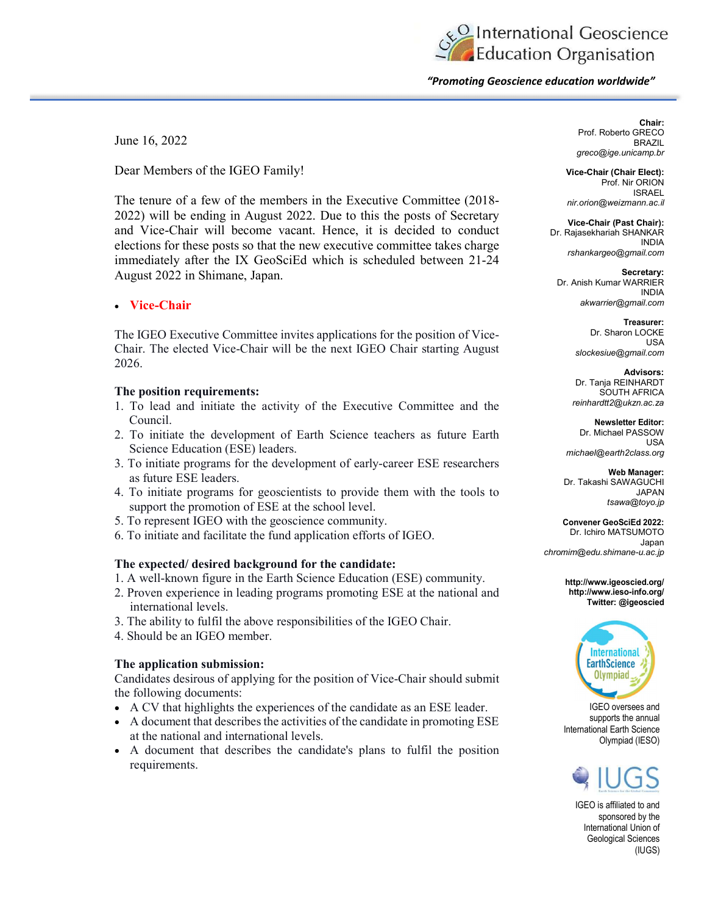Conternational Geoscience

"Promoting Geoscience education worldwide"

June 16, 2022

Dear Members of the IGEO Family!

The tenure of a few of the members in the Executive Committee (2018- 2022) will be ending in August 2022. Due to this the posts of Secretary and Vice-Chair will become vacant. Hence, it is decided to conduct elections for these posts so that the new executive committee takes charge immediately after the IX GeoSciEd which is scheduled between 21-24 August 2022 in Shimane, Japan.

# Vice-Chair

The IGEO Executive Committee invites applications for the position of Vice-Chair. The elected Vice-Chair will be the next IGEO Chair starting August 2026.

## The position requirements:

- 1. To lead and initiate the activity of the Executive Committee and the Council.
- 2. To initiate the development of Earth Science teachers as future Earth Science Education (ESE) leaders.
- 3. To initiate programs for the development of early-career ESE researchers as future ESE leaders.
- 4. To initiate programs for geoscientists to provide them with the tools to support the promotion of ESE at the school level.
- 5. To represent IGEO with the geoscience community.
- 6. To initiate and facilitate the fund application efforts of IGEO.

## The expected/ desired background for the candidate:

- 1. A well-known figure in the Earth Science Education (ESE) community.
- 2. Proven experience in leading programs promoting ESE at the national and international levels.
- 3. The ability to fulfil the above responsibilities of the IGEO Chair.
- 4. Should be an IGEO member.

## The application submission:

Candidates desirous of applying for the position of Vice-Chair should submit the following documents:

- A CV that highlights the experiences of the candidate as an ESE leader.
- A document that describes the activities of the candidate in promoting ESE at the national and international levels.
- A document that describes the candidate's plans to fulfil the position requirements.

Chair: Prof. Roberto GRECO **BRAZIL** greco@ige.unicamp.br

Vice-Chair (Chair Elect): Prof. Nir ORION ISRAEL nir.orion@weizmann.ac.il

Vice-Chair (Past Chair): Dr. Rajasekhariah SHANKAR INDIA rshankargeo@gmail.com

Secretary: Dr. Anish Kumar WARRIER INDIA akwarrier@gmail.com

> Treasurer: Dr. Sharon LOCKE USA slockesiue@gmail.com

Advisors: Dr. Tanja REINHARDT SOUTH AFRICA reinhardtt2@ukzn.ac.za

Newsletter Editor: Dr. Michael PASSOW USA michael@earth2class.org

Web Manager: Dr. Takashi SAWAGUCHI JAPAN tsawa@toyo.jp

Convener GeoSciEd 2022: Dr. Ichiro MATSUMOTO Japan chromim@edu.shimane-u.ac.jp

> http://www.igeoscied.org/ http://www.ieso-info.org/ Twitter: @igeoscied



IGEO oversees and supports the annual International Earth Science Olympiad (IESO)



IGEO is affiliated to and sponsored by the International Union of Geological Sciences (IUGS)